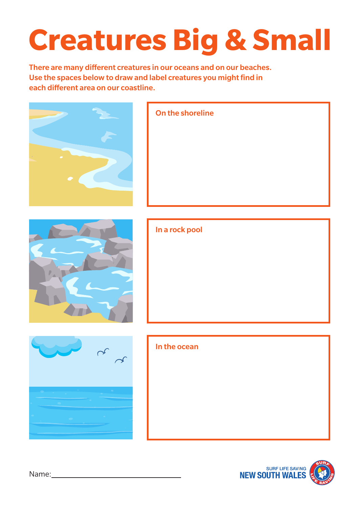### **Creatures Big & Small**

There are many different creatures in our oceans and on our beaches. Use the spaces below to draw and label creatures you might find in each different area on our coastline.





Name: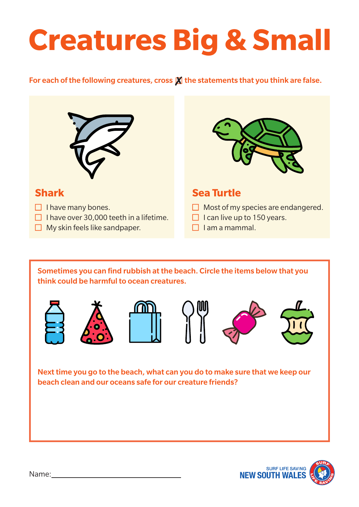## **Creatures Big & Small**

#### For each of the following creatures, cross  $\chi$  the statements that you think are false.



 $\Box$  I have over 30,000 teeth in a lifetime.

 $\Box$  My skin feels like sandpaper.



### **Sea Turtle**

- $\Box$  Most of my species are endangered.
- $\Box$  I can live up to 150 years.
- $\Box$  I am a mammal.

Sometimes you can find rubbish at the beach. Circle the items below that you think could be harmful to ocean creatures.



**Shark**

 $\Box$  I have many bones.











Next time you go to the beach, what can you do to make sure that we keep our beach clean and our oceans safe for our creature friends?

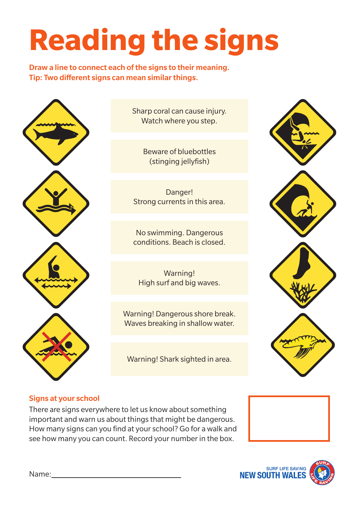# **Reading the signs**

Draw a line to connect each of the signs to their meaning. Tip: Two different signs can mean similar things.



Sharp coral can cause injury. Watch where you step.

> Beware of bluebottles (stinging jellyfish)

Danger! Strong currents in this area.

No swimming. Dangerous conditions. Beach is closed.

Warning! High surf and big waves.

Warning! Dangerous shore break. Waves breaking in shallow water.

Warning! Shark sighted in area.



#### Signs at your school

There are signs everywhere to let us know about something important and warn us about things that might be dangerous. How many signs can you find at your school? Go for a walk and see how many you can count. Record your number in the box.





Name: